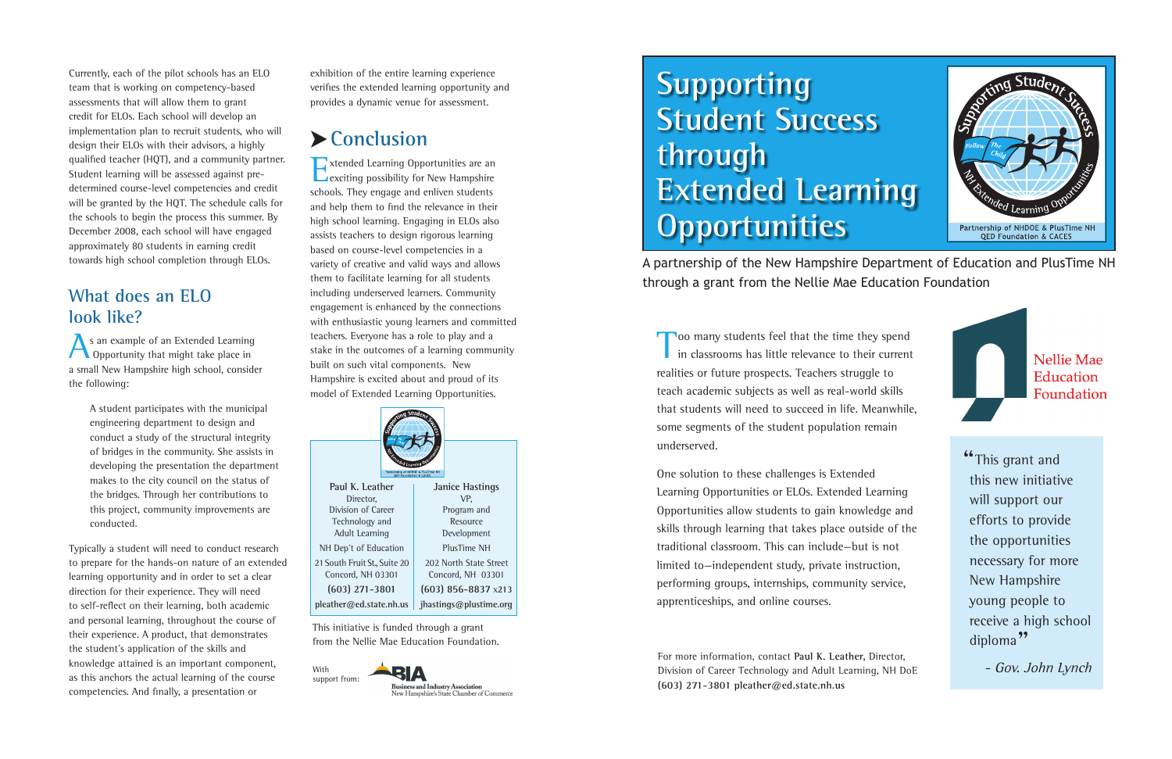Too many students feel that the time they spend<br>in classrooms has little relevance to their current realities or future prospects. Teachers struggle to teach academic subjects as well as real-world skills that students will need to succeed in life. Meanwhile, some segments of the student population remain underserved.

One solution to these challenges is Extended Learning Opportunities or ELOs. Extended Learning Opportunities allow students to gain knowledge and skills through learning that takes place outside of the traditional classroom. This can include—but is not limited to—independent study, private instruction, performing groups, internships, community service, apprenticeships, and online courses.

# **Supporting Student Success through Extended Learning Opportunities**

A partnership of the New Hampshire Department of Education and PlusTime NH through a grant from the Nellie Mae Education Foundation

For more information, contact **Paul K. Leather,** Director, Division of Career Technology and Adult Learning, NH DoE **(603) 271-3801 pleather@ed.state.nh.us**





<sup>66</sup>This grant and this new initiative will support our efforts to provide the opportunities necessary for more New Hampshire young people to receive a high school diploma"<br>- Gov. John Lynch

exhibition of the entire learning experience verifies the extended learning opportunity and provides a dynamic venue for assessment.

## ➤**Conclusion**

Extended Learning Opportunities are an exciting possibility for New Hampshire schools. They engage and enliven students and help them to find the relevance in their high school learning. Engaging in ELOs also assists teachers to design rigorous learning based on course-level competencies in a variety of creative and valid ways and allows them to facilitate learning for all students including underserved learners. Community engagement is enhanced by the connections with enthusiastic young learners and committed teachers. Everyone has a role to play and a stake in the outcomes of a learning community built on such vital components. New Hampshire is excited about and proud of its model of Extended Learning Opportunities.

Currently, each of the pilot schools has an ELO team that is working on competency-based assessments that will allow them to grant credit for ELOs. Each school will develop an implementation plan to recruit students, who will design their ELOs with their advisors, a highly qualified teacher (HQT), and a community partner. Student learning will be assessed against predetermined course-level competencies and credit will be granted by the HQT. The schedule calls for the schools to begin the process this summer. By December 2008, each school will have engaged approximately 80 students in earning credit towards high school completion through ELOs.

#### **What does an ELO look like?**

As an example of an Extended Learning **Opportunity that might take place in** a small New Hampshire high school, consider the following:

> A student participates with the municipal engineering department to design and conduct a study of the structural integrity of bridges in the community. She assists in developing the presentation the department makes to the city council on the status of the bridges. Through her contributions to this project, community improvements are conducted.

Typically a student will need to conduct research to prepare for the hands-on nature of an extended learning opportunity and in order to set a clear direction for their experience. They will need to self-reflect on their learning, both academic and personal learning, throughout the course of their experience. A product, that demonstrates the student's application of the skills and knowledge attained is an important component, as this anchors the actual learning of the course competencies. And finally, a presentation or

|                                                                                                      | ng Student                    |
|------------------------------------------------------------------------------------------------------|-------------------------------|
| <b>CARGualed Learning</b><br>Partnership of NHDOE & PlusTime NH<br><b>QED Foundation &amp; CACES</b> |                               |
| Paul K. Leather                                                                                      | <b>Janice Hastings</b>        |
| Director,                                                                                            | VP,                           |
| Division of Career                                                                                   | Program and                   |
| Technology and                                                                                       | Resource                      |
| Adult Learning                                                                                       | Development                   |
| NH Dep't of Education                                                                                | PlusTime NH                   |
| 21 South Fruit St., Suite 20                                                                         | 202 North State Street        |
| Concord, NH 03301                                                                                    | Concord, NH 03301             |
| $(603)$ 271-3801                                                                                     | $(603)$ 856-8837 $\times$ 213 |
| pleather@ed.state.nh.us                                                                              | jhastings@plustime.org        |

This initiative is funded through a grant from the Nellie Mae Education Foundation.

With support from: